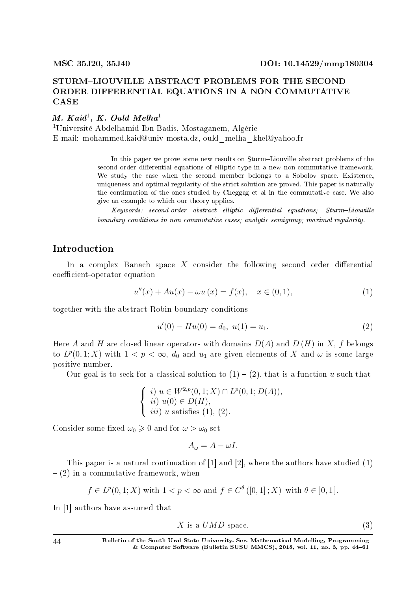# STURMLIOUVILLE ABSTRACT PROBLEMS FOR THE SECOND ORDER DIFFERENTIAL EQUATIONS IN A NON COMMUTATIVE CASE

## $M.$  Kai $d^{1},$  K. Ould Melha $^{1}$

<sup>1</sup>Université Abdelhamid Ibn Badis, Mostaganem, Algérie E-mail: mohammed.kaid@univ-mosta.dz, ould\_melha\_khel@yahoo.fr

> In this paper we prove some new results on Sturm–Liouville abstract problems of the second order differential equations of elliptic type in a new non-commutative framework. We study the case when the second member belongs to a Sobolov space. Existence, uniqueness and optimal regularity of the strict solution are proved. This paper is naturally the continuation of the ones studied by Cheggag et al in the commutative case. We also give an example to which our theory applies.

> $Keywords: second-order abstract$  elliptic differential equations;  $Sturm-Liouville$ boundary conditions in non commutative cases; analytic semigroup; maximal regularity.

# Introduction

In a complex Banach space  $X$  consider the following second order differential coefficient-operator equation

$$
u''(x) + Au(x) - \omega u(x) = f(x), \quad x \in (0, 1), \tag{1}
$$

together with the abstract Robin boundary conditions

$$
u'(0) - Hu(0) = d_0, \ u(1) = u_1.
$$
\n<sup>(2)</sup>

Here *A* and *H* are closed linear operators with domains  $D(A)$  and  $D(H)$  in *X*, *f* belongs to  $L^p(0,1;X)$  with  $1 < p < \infty$ ,  $d_0$  and  $u_1$  are given elements of X and  $\omega$  is some large positive number.

Our goal is to seek for a classical solution to  $(1) - (2)$ , that is a function *u* such that

$$
\begin{cases} i) \ u \in W^{2,p}(0,1;X) \cap L^p(0,1;D(A)), \\ ii) \ u(0) \in D(H), \\ iii) \ u \ \text{satisfies } (1), (2). \end{cases}
$$

Consider some fixed  $\omega_0 \geq 0$  and for  $\omega > \omega_0$  set

$$
A_{\omega}=A-\omega I.
$$

This paper is a natural continuation of [1] and [2], where the authors have studied (1)  $-$  (2) in a commutative framework, when

$$
f \in L^p(0, 1; X) \text{ with } 1 < p < \infty \text{ and } f \in C^\theta([0, 1]; X) \text{ with } \theta \in [0, 1].
$$

In [1] authors have assumed that

$$
X \t{is a UMD space}, \t(3)
$$

44 Bulletin of the South Ural State University. Ser. Mathematical Modelling, Programming & Computer Software (Bulletin SUSU MMCS), 2018, vol. 11, no. 3, pp.  $44-61$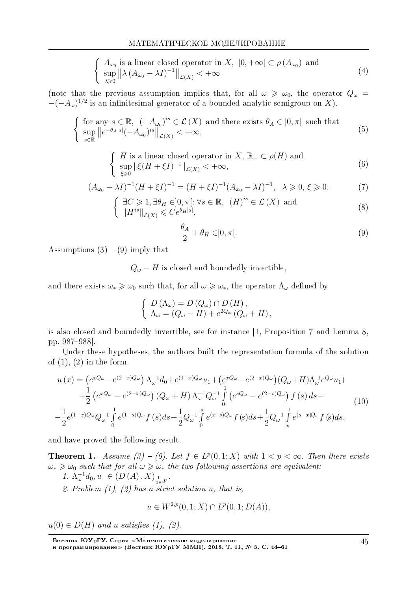$$
\begin{cases}\nA_{\omega_0} \text{ is a linear closed operator in } X, \ [0, +\infty[ \subset \rho(A_{\omega_0}) \text{ and} \\
\sup_{\lambda \geq 0} ||\lambda(A_{\omega_0} - \lambda I)^{-1}||_{\mathcal{L}(X)} < +\infty\n\end{cases}
$$
\n(4)

(note that the previous assumption implies that, for all  $\omega \geq \omega_0$ , the operator  $Q_\omega$  =  $-(-A<sub>ω</sub>)<sup>1/2</sup>$  is an infinitesimal generator of a bounded analytic semigroup on *X*).

$$
\begin{cases} \text{ for any } s \in \mathbb{R}, \ (-A_{\omega_0})^{is} \in \mathcal{L}(X) \text{ and there exists } \theta_A \in ]0, \pi[ \text{ such that } \sup_{s \in \mathbb{R}} ||e^{-\theta_A|s|}(-A_{\omega_0})^{is}||_{\mathcal{L}(X)} < +\infty, \end{cases}
$$
 (5)

 $\int$  *H* is a linear closed operator in *X*,  $\mathbb{R}_-\subset \rho(H)$  and sup *ξ*>0 *∥ξ*(*H* + *ξI*) *<sup>−</sup>*<sup>1</sup>*∥L*(*X*) *<* +*∞,* (6)

$$
(A_{\omega_0} - \lambda I)^{-1} (H + \xi I)^{-1} = (H + \xi I)^{-1} (A_{\omega_0} - \lambda I)^{-1}, \quad \lambda \geq 0, \xi \geq 0,
$$
 (7)

$$
\begin{cases} \exists C \geq 1, \exists \theta_H \in ]0, \pi[ : \forall s \in \mathbb{R}, \ (H)^{is} \in \mathcal{L}(X) \text{ and} \\ \|H^{is}\|_{\mathcal{L}(X)} \leqslant Ce^{\theta_H |s|}, \end{cases} \tag{8}
$$

$$
\frac{\theta_A}{2} + \theta_H \in ]0, \pi[.
$$
\n(9)

Assumptions  $(3) - (9)$  imply that

 $Q$ <sup>*ω*</sup> *− H* is closed and boundedly invertible,

and there exists  $\omega_* \geq \omega_0$  such that, for all  $\omega \geq \omega_*$ , the operator  $\Lambda_\omega$  defined by

$$
\begin{cases}\nD(\Lambda_{\omega}) = D(Q_{\omega}) \cap D(H), \\
\Lambda_{\omega} = (Q_{\omega} - H) + e^{2Q_{\omega}}(Q_{\omega} + H),\n\end{cases}
$$

is also closed and boundedly invertible, see for instance [1, Proposition 7 and Lemma 8, pp. 987–988.

Under these hypotheses, the authors built the representation formula of the solution of  $(1)$ ,  $(2)$  in the form

$$
u(x) = \left(e^{xQ_{\omega}} - e^{(2-x)Q_{\omega}}\right) \Lambda_{\omega}^{-1} d_0 + e^{(1-x)Q_{\omega}} u_1 + \left(e^{xQ_{\omega}} - e^{(2-x)Q_{\omega}}\right) (Q_{\omega} + H) \Lambda_{\omega}^{-1} e^{Q_{\omega}} u_1 +
$$
  
+ 
$$
\frac{1}{2} \left(e^{xQ_{\omega}} - e^{(2-x)Q_{\omega}}\right) (Q_{\omega} + H) \Lambda_{\omega}^{-1} Q_{\omega}^{-1} \int_{0}^{1} \left(e^{sQ_{\omega}} - e^{(2-s)Q_{\omega}}\right) f(s) ds -
$$
  
- 
$$
\frac{1}{2} e^{(1-x)Q_{\omega}} Q_{\omega}^{-1} \int_{0}^{1} e^{(1-s)Q_{\omega}} f(s) ds + \frac{1}{2} Q_{\omega}^{-1} \int_{0}^{x} e^{(x-s)Q_{\omega}} f(s) ds + \frac{1}{2} Q_{\omega}^{-1} \int_{x}^{1} e^{(s-x)Q_{\omega}} f(s) ds,
$$
  
(10)

and have proved the following result.

**Theorem 1.** Assume (3) – (9). Let  $f \in L^p(0,1;X)$  with  $1 < p < \infty$ . Then there exists  $\omega_* \geq \omega_0$  such that for all  $\omega \geq \omega_*$  the two following assertions are equivalent:

1.  $\Lambda_{\omega}^{-1}d_0, u_1 \in (D(A), X)_{\frac{1}{2p}, p}$ . 2. Problem (1), (2) has a strict solution *u*, that is,

$$
u \in W^{2,p}(0,1;X) \cap L^p(0,1;D(A)),
$$

 $u(0) \in D(H)$  and *u* satisfies (1), (2).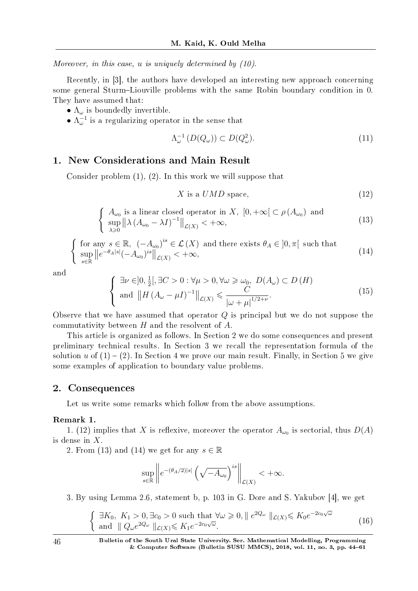Moreover, in this case, *u* is uniquely determined by (10).

Recently, in [3], the authors have developed an interesting new approach concerning some general Sturm-Liouville problems with the same Robin boundary condition in 0. They have assumed that:

- $\Lambda_{\omega}$  is boundedly invertible.
- $\Lambda_{\omega}^{-1}$  is a regularizing operator in the sense that

$$
\Lambda_{\omega}^{-1}(D(Q_{\omega})) \subset D(Q_{\omega}^2). \tag{11}
$$

# 1. New Considerations and Main Result

Consider problem (1), (2). In this work we will suppose that

$$
X \text{ is a } UMD \text{ space}, \tag{12}
$$

$$
\begin{cases}\nA_{\omega_0} \text{ is a linear closed operator in } X, \ [0, +\infty[ \subset \rho(A_{\omega_0}) \text{ and } \\
\sup_{\lambda \geq 0} ||\lambda(A_{\omega_0} - \lambda I)^{-1}||_{\mathcal{L}(X)} < +\infty,\n\end{cases}
$$
\n(13)

$$
\begin{cases} \text{ for any } s \in \mathbb{R}, \ (-A_{\omega_0})^{is} \in \mathcal{L}(X) \text{ and there exists } \theta_A \in ]0, \pi[ \text{ such that } \sup_{s \in \mathbb{R}} ||e^{-\theta_A|s|}(-A_{\omega_0})^{is}||_{\mathcal{L}(X)} < +\infty, \end{cases}
$$
(14)

and

$$
\begin{cases} \n\exists \nu \in ]0, \frac{1}{2}[, \exists C > 0 : \forall \mu > 0, \forall \omega \geq \omega_0, \ D(A_{\omega}) \subset D(H) \\
\text{and } \|H(A_{\omega} - \mu I)^{-1}\|_{\mathcal{L}(X)} \leq \frac{C}{|\omega + \mu|^{1/2 + \nu}}.\n\end{cases} \tag{15}
$$

Observe that we have assumed that operator *Q* is principal but we do not suppose the commutativity between *H* and the resolvent of *A*.

This article is organized as follows. In Section 2 we do some consequences and present preliminary technical results. In Section 3 we recall the representation formula of the solution *u* of  $(1) - (2)$ . In Section 4 we prove our main result. Finally, in Section 5 we give some examples of application to boundary value problems.

#### 2. Consequences

Let us write some remarks which follow from the above assumptions.

#### Remark 1.

1. (12) implies that *X* is reflexive, moreover the operator  $A_{\omega_0}$  is sectorial, thus  $D(A)$ is dense in *X*.

2. From (13) and (14) we get for any  $s \in \mathbb{R}$ 

$$
\sup_{s\in\mathbb{R}}\left\|e^{-(\theta_A/2)|s|}\left(\sqrt{-A_{\omega_0}}\right)^{is}\right\|_{\mathcal{L}(X)} < +\infty.
$$

3. By using Lemma 2.6, statement b, p. 103 in G. Dore and S. Yakubov [4], we get

$$
\begin{cases} \n\exists K_0, \ K_1 > 0, \exists c_0 > 0 \text{ such that } \forall \omega \geq 0, \parallel e^{2Q_{\omega}} \parallel_{\mathcal{L}(X)} \leqslant K_0 e^{-2c_0\sqrt{\omega}} \\ \n\text{and } \parallel Q_{\omega} e^{2Q_{\omega}} \parallel_{\mathcal{L}(X)} \leqslant K_1 e^{-2c_0\sqrt{\omega}}. \n\end{cases} \tag{16}
$$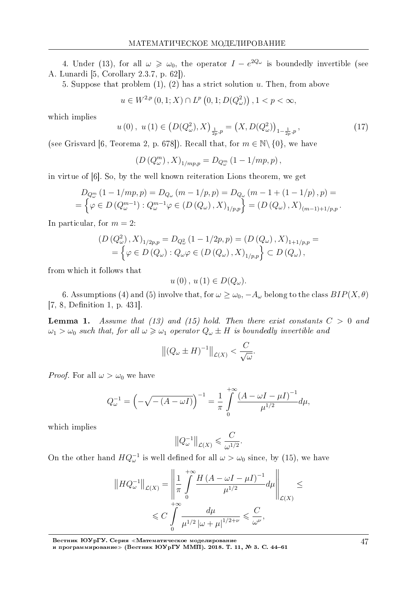4. Under (13), for all  $\omega \geq \omega_0$ , the operator  $I - e^{2Q_{\omega}}$  is boundedly invertible (see A. Lunardi [5, Corollary 2.3.7, p. 62]).

5. Suppose that problem (1), (2) has a strict solution *u*. Then, from above

$$
u \in W^{2,p}(0,1;X) \cap L^p(0,1;D(Q^2_{\omega}))
$$
,  $1 < p < \infty$ ,

which implies

$$
u(0), u(1) \in (D(Q_{\omega}^{2}), X)_{\frac{1}{2p}, p} = (X, D(Q_{\omega}^{2}))_{1-\frac{1}{2p}, p}, \qquad (17)
$$

(see Grisvard [6, Teorema 2, p. 678]). Recall that, for  $m \in \mathbb{N} \setminus \{0\}$ , we have

$$
(D(Q_{\omega}^{m}), X)_{1/mp,p} = D_{Q_{\omega}^{m}}(1 - 1/mp, p),
$$

in virtue of [6]. So, by the well known reiteration Lions theorem, we get

$$
D_{Q_{\omega}^{m}}(1 - 1/mp, p) = D_{Q_{\omega}}(m - 1/p, p) = D_{Q_{\omega}}(m - 1 + (1 - 1/p), p) =
$$
  
=  $\left\{ \varphi \in D\left(Q_{\omega}^{m-1}\right) : Q_{\omega}^{m-1} \varphi \in \left(D\left(Q_{\omega}\right), X\right)_{1/p, p} \right\} = \left(D\left(Q_{\omega}\right), X\right)_{(m-1)+1/p, p}.$ 

In particular, for  $m = 2$ :

$$
(D (Q_{\omega}^{2}), X)_{1/2p,p} = D_{Q_{\omega}^{2}} (1 - 1/2p, p) = (D (Q_{\omega}), X)_{1+1/p,p} =
$$
  
=  $\{ \varphi \in D (Q_{\omega}) : Q_{\omega} \varphi \in (D (Q_{\omega}), X)_{1/p,p} \} \subset D (Q_{\omega}),$ 

from which it follows that

$$
u(0), u(1) \in D(Q_{\omega}).
$$

6. Assumptions (4) and (5) involve that, for  $\omega \geq \omega_0$ ,  $-A_\omega$  belong to the class  $BIP(X,\theta)$  $[7, 8, Definition 1, p. 431].$ 

**Lemma 1.** Assume that (13) and (15) hold. Then there exist constants  $C > 0$  and  $\omega_1 > \omega_0$  such that, for all  $\omega \geq \omega_1$  operator  $Q_\omega \pm H$  is boundedly invertible and

$$
\left\| (Q_\omega \pm H)^{-1} \right\|_{\mathcal{L}(X)} < \frac{C}{\sqrt{\omega}}.
$$

*Proof.* For all  $\omega > \omega_0$  we have

$$
Q_{\omega}^{-1} = \left(-\sqrt{-\left(A - \omega I\right)}\right)^{-1} = \frac{1}{\pi} \int_{0}^{+\infty} \frac{\left(A - \omega I - \mu I\right)^{-1}}{\mu^{1/2}} d\mu,
$$

which implies

$$
||Q_{\omega}^{-1}||_{\mathcal{L}(X)} \leqslant \frac{C}{\omega^{1/2}}.
$$

On the other hand  $HQ_\omega^{-1}$  is well defined for all  $\omega > \omega_0$  since, by (15), we have

$$
||HQ_{\omega}^{-1}||_{\mathcal{L}(X)} = \left\| \frac{1}{\pi} \int_{0}^{+\infty} \frac{H (A - \omega I - \mu I)^{-1}}{\mu^{1/2}} d\mu \right\|_{\mathcal{L}(X)} \le
$$
  
\$\le C \int\_{0}^{+\infty} \frac{d\mu}{\mu^{1/2} |\omega + \mu|^{1/2 + \nu}} \le \frac{C}{\omega^{\nu}},

Вестник ЮУрГУ. Серия «Математическое моделирование и программирование≫ (Вестник ЮУрГУ ММП). 2018. T. 11, № 3. C. 44–61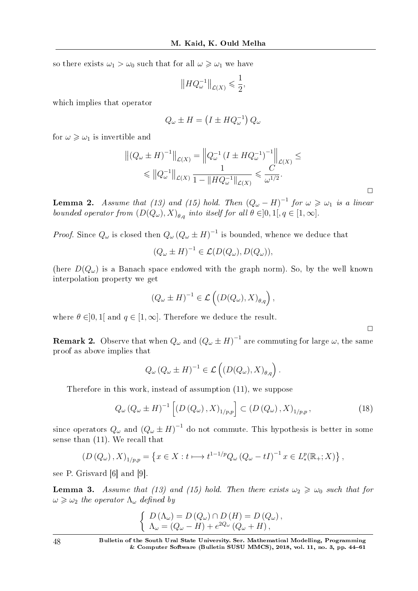so there exists  $\omega_1 > \omega_0$  such that for all  $\omega \geq \omega_1$  we have

$$
\left\|HQ_{\omega}^{-1}\right\|_{\mathcal{L}(X)} \leqslant \frac{1}{2},
$$

which implies that operator

$$
Q_{\omega} \pm H = \left( I \pm HQ_{\omega}^{-1} \right) Q_{\omega}
$$

for  $\omega \geqslant \omega_1$  is invertible and

$$
\left\| (Q_{\omega} \pm H)^{-1} \right\|_{\mathcal{L}(X)} = \left\| Q_{\omega}^{-1} \left( I \pm H Q_{\omega}^{-1} \right)^{-1} \right\|_{\mathcal{L}(X)} \le
$$
  
\$\leq \left\| Q\_{\omega}^{-1} \right\|\_{\mathcal{L}(X)} \frac{1}{1 - \left\| H Q\_{\omega}^{-1} \right\|\_{\mathcal{L}(X)}} \leq \frac{C}{\omega^{1/2}}\$.

 $\Box$ 

 $\Box$ 

**Lemma 2.** Assume that (13) and (15) hold. Then  $(Q_\omega - H)^{-1}$  for  $\omega \geq \omega_1$  is a linear bounded operator from  $(D(Q_\omega), X)_{\theta,q}$  into itself for all  $\theta \in ]0,1[, q \in [1,\infty]$ .

*Proof.* Since  $Q_{\omega}$  is closed then  $Q_{\omega}(Q_{\omega} \pm H)^{-1}$  is bounded, whence we deduce that

$$
(Q_{\omega} \pm H)^{-1} \in \mathcal{L}(D(Q_{\omega}), D(Q_{\omega})),
$$

(here  $D(Q_\omega)$  is a Banach space endowed with the graph norm). So, by the well known interpolation property we get

$$
(Q_{\omega} \pm H)^{-1} \in \mathcal{L}\left((D(Q_{\omega}), X)_{\theta, q}\right),\,
$$

where  $\theta \in ]0,1[$  and  $q \in [1,\infty]$ . Therefore we deduce the result.

**Remark 2.** Observe that when  $Q_\omega$  and  $(Q_\omega \pm H)^{-1}$  are commuting for large  $\omega$ , the same proof as above implies that

$$
Q_{\omega} (Q_{\omega} \pm H)^{-1} \in \mathcal{L} \left( (D(Q_{\omega}), X)_{\theta, q} \right).
$$

Therefore in this work, instead of assumption (11), we suppose

$$
Q_{\omega} (Q_{\omega} \pm H)^{-1} \left[ \left( D \left( Q_{\omega} \right), X \right)_{1/p, p} \right] \subset \left( D \left( Q_{\omega} \right), X \right)_{1/p, p}, \tag{18}
$$

since operators  $Q_\omega$  and  $(Q_\omega \pm H)^{-1}$  do not commute. This hypothesis is better in some sense than (11). We recall that

$$
(D(Q_{\omega}), X)_{1/p,p} = \left\{ x \in X : t \longmapsto t^{1-1/p} Q_{\omega} (Q_{\omega} - tI)^{-1} x \in L^p_*(\mathbb{R}_+; X) \right\},\
$$

see P. Grisvard [6] and [9].

**Lemma 3.** Assume that (13) and (15) hold. Then there exists  $\omega_2 \geq \omega_0$  such that for  $\omega \geqslant \omega_2$  the operator  $\Lambda_{\omega}$  defined by

$$
\begin{cases}\nD(\Lambda_{\omega}) = D(Q_{\omega}) \cap D(H) = D(Q_{\omega}), \\
\Lambda_{\omega} = (Q_{\omega} - H) + e^{2Q_{\omega}}(Q_{\omega} + H),\n\end{cases}
$$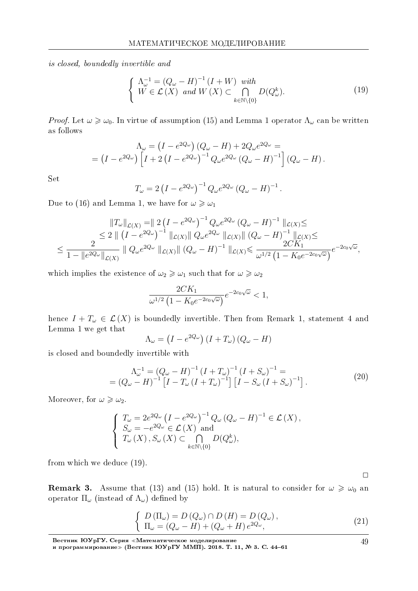is closed, boundedly invertible and

$$
\begin{cases}\n\Lambda_{\omega}^{-1} = (Q_{\omega} - H)^{-1} (I + W) \quad with \\
W \in \mathcal{L}(X) \quad and \quad W(X) \subset \bigcap_{k \in \mathbb{N} \setminus \{0\}} D(Q_{\omega}^k).\n\end{cases} (19)
$$

*Proof.* Let  $\omega \geq \omega_0$ . In virtue of assumption (15) and Lemma 1 operator  $\Lambda_{\omega}$  can be written as follows

$$
\Lambda_{\omega} = \left(I - e^{2Q_{\omega}}\right) \left(Q_{\omega} - H\right) + 2Q_{\omega}e^{2Q_{\omega}} =
$$
\n
$$
= \left(I - e^{2Q_{\omega}}\right) \left[I + 2\left(I - e^{2Q_{\omega}}\right)^{-1} Q_{\omega}e^{2Q_{\omega}} \left(Q_{\omega} - H\right)^{-1}\right] \left(Q_{\omega} - H\right).
$$

Set

$$
T_{\omega} = 2\left(I - e^{2Q_{\omega}}\right)^{-1} Q_{\omega} e^{2Q_{\omega}} \left(Q_{\omega} - H\right)^{-1}.
$$

Due to (16) and Lemma 1, we have for  $\omega \geq \omega_1$ 

$$
||T_{\omega}||_{\mathcal{L}(X)} = || 2 (I - e^{2Q_{\omega}})^{-1} Q_{\omega} e^{2Q_{\omega}} (Q_{\omega} - H)^{-1} ||_{\mathcal{L}(X)} \le
$$
  
\n
$$
\leq 2 || (I - e^{2Q_{\omega}})^{-1} ||_{\mathcal{L}(X)} || Q_{\omega} e^{2Q_{\omega}} ||_{\mathcal{L}(X)} || (Q_{\omega} - H)^{-1} ||_{\mathcal{L}(X)} \le
$$
  
\n
$$
\leq \frac{2}{1 - ||e^{2Q_{\omega}}||_{\mathcal{L}(X)}} || Q_{\omega} e^{2Q_{\omega}} ||_{\mathcal{L}(X)} || (Q_{\omega} - H)^{-1} ||_{\mathcal{L}(X)} \leq \frac{2CK_1}{\omega^{1/2} (1 - K_0 e^{-2c_0\sqrt{\omega}})} e^{-2c_0\sqrt{\omega}},
$$

which implies the existence of  $\omega_2 \geq \omega_1$  such that for  $\omega \geq \omega_2$ 

$$
\frac{2CK_1}{\omega^{1/2}\left(1-K_0e^{-2c_0\sqrt{\omega}}\right)}e^{-2c_0\sqrt{\omega}} < 1,
$$

hence  $I + T_{\omega} \in \mathcal{L}(X)$  is boundedly invertible. Then from Remark 1, statement 4 and Lemma 1 we get that

$$
\Lambda_{\omega} = \left(I - e^{2Q_{\omega}}\right) \left(I + T_{\omega}\right) \left(Q_{\omega} - H\right)
$$

is closed and boundedly invertible with

$$
\Lambda_{\omega}^{-1} = (Q_{\omega} - H)^{-1} (I + T_{\omega})^{-1} (I + S_{\omega})^{-1} =
$$
  
=  $(Q_{\omega} - H)^{-1} [I - T_{\omega} (I + T_{\omega})^{-1}] [I - S_{\omega} (I + S_{\omega})^{-1}].$  (20)

Moreover, for  $\omega \geqslant \omega_2$ .

$$
\begin{cases}\nT_{\omega} = 2e^{2Q_{\omega}} \left( I - e^{2Q_{\omega}} \right)^{-1} Q_{\omega} \left( Q_{\omega} - H \right)^{-1} \in \mathcal{L}(X), \\
S_{\omega} = -e^{2Q_{\omega}} \in \mathcal{L}(X) \text{ and} \\
T_{\omega}(X), S_{\omega}(X) \subset \bigcap_{k \in \mathbb{N} \setminus \{0\}} D(Q_{\omega}^{k}),\n\end{cases}
$$

from which we deduce (19).

 $\Box$ 

**Remark 3.** Assume that (13) and (15) hold. It is natural to consider for  $\omega \geq \omega_0$  and operator  $\Pi_{\omega}$  (instead of  $\Lambda_{\omega}$ ) defined by

$$
\begin{cases}\nD(\Pi_{\omega}) = D(Q_{\omega}) \cap D(H) = D(Q_{\omega}), \\
\Pi_{\omega} = (Q_{\omega} - H) + (Q_{\omega} + H) e^{2Q_{\omega}},\n\end{cases}
$$
\n(21)

49

Вестник ЮУрГУ. Серия «Математическое моделирование и программирование≫ (Вестник ЮУрГУ ММП). 2018. T. 11, № 3. C. 44–61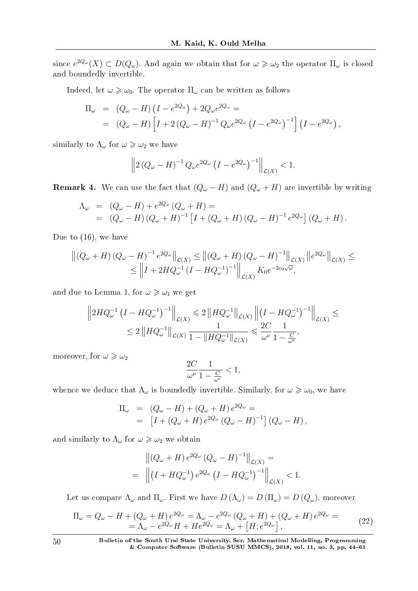since  $e^{2Q_\omega}(X) \subset D(Q_\omega)$ . And again we obtain that for  $\omega \geqslant \omega_2$  the operator  $\Pi_\omega$  is closed and boundedly invertible.

Indeed, let  $\omega \geq \omega_0$ . The operator  $\Pi_{\omega}$  can be written as follows

$$
\Pi_{\omega} = (Q_{\omega} - H) (I - e^{2Q_{\omega}}) + 2Q_{\omega}e^{2Q_{\omega}} =
$$
\n
$$
= (Q_{\omega} - H) [I + 2(Q_{\omega} - H)^{-1} Q_{\omega}e^{2Q_{\omega}} (I - e^{2Q_{\omega}})^{-1}] (I - e^{2Q_{\omega}}),
$$

similarly to  $\Lambda_{\omega}$  for  $\omega \geq \omega_2$  we have

$$
\left\|2\left(Q_{\omega}-H\right)^{-1}Q_{\omega}e^{2Q_{\omega}}\left(I-e^{2Q_{\omega}}\right)^{-1}\right\|_{\mathcal{L}(X)}<1.
$$

**Remark 4.** We can use the fact that  $(Q_\omega - H)$  and  $(Q_\omega + H)$  are invertible by writing

$$
\Lambda_{\omega} = (Q_{\omega} - H) + e^{2Q_{\omega}} (Q_{\omega} + H) =
$$
  
=  $(Q_{\omega} - H) (Q_{\omega} + H)^{-1} [I + (Q_{\omega} + H) (Q_{\omega} - H)^{-1} e^{2Q_{\omega}}] (Q_{\omega} + H).$ 

Due to (16), we have

$$
\left\| (Q_{\omega} + H) (Q_{\omega} - H)^{-1} e^{2Q_{\omega}} \right\|_{\mathcal{L}(X)} \leq \left\| (Q_{\omega} + H) (Q_{\omega} - H)^{-1} \right\|_{\mathcal{L}(X)} \left\| e^{2Q_{\omega}} \right\|_{\mathcal{L}(X)} \leq
$$
  
\$\leq \left\| I + 2HQ\_{\omega}^{-1} (I - HQ\_{\omega}^{-1})^{-1} \right\|\_{\mathcal{L}(X)} K\_0 e^{-2c\_0\sqrt{\omega}},

and due to Lemma 1, for  $\omega \geq \omega_1$  we get

$$
\left\|2HQ_{\omega}^{-1}\left(I - HQ_{\omega}^{-1}\right)^{-1}\right\|_{\mathcal{L}(X)} \leq 2\left\|HQ_{\omega}^{-1}\right\|_{\mathcal{L}(X)}\left\|\left(I - HQ_{\omega}^{-1}\right)^{-1}\right\|_{\mathcal{L}(X)} \leq
$$
  

$$
\leq 2\left\|HQ_{\omega}^{-1}\right\|_{\mathcal{L}(X)}\frac{1}{1 - \left\|HQ_{\omega}^{-1}\right\|_{\mathcal{L}(X)}} \leq \frac{2C}{\omega^{\nu}}\frac{1}{1 - \frac{C}{\omega^{\nu}}},
$$

moreover, for  $\omega \geq \omega_2$ 

$$
\frac{2C}{\omega^{\nu}}\frac{1}{1-\frac{C}{\omega^{\nu}}}<1,
$$

whence we deduce that  $\Lambda_{\omega}$  is boundedly invertible. Similarly, for  $\omega \geq \omega_0$ , we have

$$
\Pi_{\omega} = (Q_{\omega} - H) + (Q_{\omega} + H) e^{2Q_{\omega}} =
$$
  
=  $[I + (Q_{\omega} + H) e^{2Q_{\omega}} (Q_{\omega} - H)^{-1}] (Q_{\omega} - H),$ 

and similarly to  $\Lambda_{\omega}$  for  $\omega \geq \omega_2$  we obtain

$$
\left\| (Q_{\omega} + H) e^{2Q_{\omega}} (Q_{\omega} - H)^{-1} \right\|_{\mathcal{L}(X)} =
$$
  
= 
$$
\left\| (I + HQ_{\omega}^{-1}) e^{2Q_{\omega}} (I - HQ_{\omega}^{-1})^{-1} \right\|_{\mathcal{L}(X)} < 1.
$$

Let us compare  $\Lambda_{\omega}$  and  $\Pi_{\omega}$ . First we have  $D(\Lambda_{\omega}) = D(\Pi_{\omega}) = D(Q_{\omega})$ , moreover

$$
\Pi_{\omega} = Q_{\omega} - H + (Q_{\omega} + H) e^{2Q_{\omega}} = \Lambda_{\omega} - e^{2Q_{\omega}} (Q_{\omega} + H) + (Q_{\omega} + H) e^{2Q_{\omega}} = \n= \Lambda_{\omega} - e^{2Q_{\omega}} H + He^{2Q_{\omega}} = \Lambda_{\omega} + [H; e^{2Q_{\omega}}],
$$
\n(22)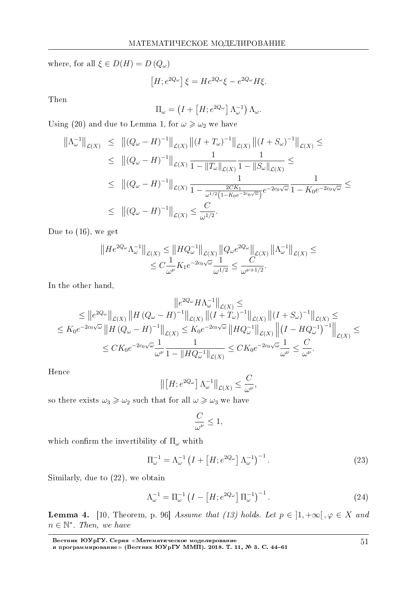where, for all  $\xi \in D(H) = D(Q_\omega)$ 

$$
[H; e^{2Q_{\omega}}] \xi = He^{2Q_{\omega}} \xi - e^{2Q_{\omega}} H \xi.
$$

Then

$$
\Pi_{\omega} = \left( I + \left[ H; e^{2Q_{\omega}} \right] \Lambda_{\omega}^{-1} \right) \Lambda_{\omega}.
$$

Using (20) and due to Lemma 1, for  $\omega \geq \omega_2$  we have

$$
\begin{split}\n\left\|\Lambda_{\omega}^{-1}\right\|_{\mathcal{L}(X)} &\leq \left\|(Q_{\omega} - H)^{-1}\right\|_{\mathcal{L}(X)}\left\|(I + T_{\omega})^{-1}\right\|_{\mathcal{L}(X)}\left\|(I + S_{\omega})^{-1}\right\|_{\mathcal{L}(X)} \leq \\
&\leq \left\|(Q_{\omega} - H)^{-1}\right\|_{\mathcal{L}(X)}\frac{1}{1 - \|T_{\omega}\|_{\mathcal{L}(X)}}\frac{1}{1 - \|S_{\omega}\|_{\mathcal{L}(X)}} \leq \\
&\leq \left\|(Q_{\omega} - H)^{-1}\right\|_{\mathcal{L}(X)}\frac{1}{1 - \frac{2CK_1}{\omega^{1/2}\left(1 - K_0 e^{-2c_0\sqrt{\omega}}\right)}e^{-2c_0\sqrt{\omega}}}\frac{1}{1 - K_0 e^{-2c_0\sqrt{\omega}}} \leq \\
&\leq \left\|(Q_{\omega} - H)^{-1}\right\|_{\mathcal{L}(X)} \leq \frac{C}{\omega^{1/2}}.\n\end{split}
$$

Due to (16), we get

$$
||He^{2Q_{\omega}}\Lambda_{\omega}^{-1}||_{\mathcal{L}(X)} \leq ||HQ_{\omega}^{-1}||_{\mathcal{L}(X)} ||Q_{\omega}e^{2Q_{\omega}}||_{\mathcal{L}(X)} ||\Lambda_{\omega}^{-1}||_{\mathcal{L}(X)} \leq
$$
  

$$
\leq C\frac{1}{\omega^{\nu}}K_1e^{-2c_0\sqrt{\omega}}\frac{1}{\omega^{1/2}} \leq \frac{C}{\omega^{\nu+1/2}}.
$$

In the other hand,

$$
\|e^{2Q_{\omega}}H\Lambda_{\omega}^{-1}\|_{\mathcal{L}(X)} \le
$$
  
\n
$$
\leq \|e^{2Q_{\omega}}\|_{\mathcal{L}(X)} \|H (Q_{\omega} - H)^{-1}\|_{\mathcal{L}(X)} \|(I + T_{\omega})^{-1}\|_{\mathcal{L}(X)} \|(I + S_{\omega})^{-1}\|_{\mathcal{L}(X)} \le
$$
  
\n
$$
\leq K_0 e^{-2c_0\sqrt{\omega}} \|H (Q_{\omega} - H)^{-1}\|_{\mathcal{L}(X)} \leq K_0 e^{-2c_0\sqrt{\omega}} \|H Q_{\omega}^{-1}\|_{\mathcal{L}(X)} \|(I - H Q_{\omega}^{-1})^{-1}\|_{\mathcal{L}(X)} \le
$$
  
\n
$$
\leq CK_0 e^{-2c_0\sqrt{\omega}} \frac{1}{\omega^{\nu}} \frac{1}{1 - \|H Q_{\omega}^{-1}\|_{\mathcal{L}(X)}} \leq CK_0 e^{-2c_0\sqrt{\omega}} \frac{1}{\omega^{\nu}} \leq \frac{C}{\omega^{\nu}}.
$$

Hence

$$
\left\| \left[H; e^{2Q_{\omega}}\right] \Lambda_{\omega}^{-1} \right\|_{\mathcal{L}(X)} \leq \frac{C}{\omega^{\nu}},
$$

so there exists  $\omega_3 \geqslant \omega_2$  such that for all  $\omega \geqslant \omega_3$  we have

$$
\frac{C}{\omega^{\nu}}\leq 1,
$$

which confirm the invertibility of Π<sub>ω</sub> whith

$$
\Pi_{\omega}^{-1} = \Lambda_{\omega}^{-1} \left( I + \left[ H; e^{2Q_{\omega}} \right] \Lambda_{\omega}^{-1} \right)^{-1} . \tag{23}
$$

Similarly, due to (22), we obtain

$$
\Lambda_{\omega}^{-1} = \Pi_{\omega}^{-1} \left( I - \left[ H; e^{2Q_{\omega}} \right] \Pi_{\omega}^{-1} \right)^{-1} . \tag{24}
$$

**Lemma 4.** [10, Theorem, p. 96] Assume that (13) holds. Let  $p \in \{1, +\infty[$ ,  $\varphi \in X$  and  $n \in \mathbb{N}^*$ . Then, we have

Вестник ЮУрГУ. Серия «Математическое моделирование и программирование≫ (Вестник ЮУрГУ ММП). 2018. T. 11, № 3. C. 44–61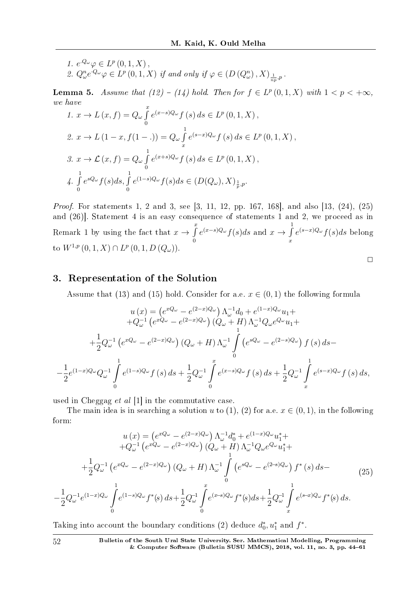- $1. e^{Q_{\omega}} \varphi \in L^p(0, 1, X),$
- 2.  $Q_{\omega}^{n}e^{\cdot Q_{\omega}}\varphi \in L^{p}(0,1,X)$  if and only if  $\varphi \in (D(Q_{\omega}^{n}),X)_{\frac{1}{np},p}$ .

**Lemma 5.** Assume that  $(12) - (14)$  hold. Then for  $f \in L^p(0,1,X)$  with  $1 < p < +\infty$ , we have ∫*x*

1. 
$$
x \to L(x, f) = Q_{\omega} \int_{0}^{x} e^{(x-s)Q_{\omega}} f(s) ds \in L^{p}(0, 1, X),
$$
  
\n2.  $x \to L(1-x, f(1-.)) = Q_{\omega} \int_{x}^{1} e^{(s-x)Q_{\omega}} f(s) ds \in L^{p}(0, 1, X),$   
\n3.  $x \to L(x, f) = Q_{\omega} \int_{0}^{1} e^{(x+s)Q_{\omega}} f(s) ds \in L^{p}(0, 1, X),$   
\n4.  $\int_{0}^{1} e^{sQ_{\omega}} f(s) ds, \int_{0}^{1} e^{(1-s)Q_{\omega}} f(s) ds \in (D(Q_{\omega}), X)_{\frac{1}{p}, p}.$ 

Proof. For statements 1, 2 and 3, see [3, 11, 12, pp. 167, 168], and also [13, (24), (25) and (26)]. Statement 4 is an easy consequence of statements 1 and 2, we proceed as in Remark 1 by using the fact that  $x \to \int^{x}$ 0  $e^{(x-s)Q_\omega} f(s) ds$  and  $x \to \infty$ 1 *x e* (*s−x*)*Q<sup>ω</sup> f*(*s*)*ds* belong  $\mathfrak{b}_0 W^{1,p}(0,1,X) \cap L^p(0,1,D(Q_\omega)).$ 

### 3. Representation of the Solution

Assume that (13) and (15) hold. Consider for a.e.  $x \in (0,1)$  the following formula

$$
u(x) = (e^{xQ_{\omega}} - e^{(2-x)Q_{\omega}}) \Lambda_{\omega}^{-1} d_0 + e^{(1-x)Q_{\omega}} u_1 +
$$
  
+ $Q_{\omega}^{-1} (e^{xQ_{\omega}} - e^{(2-x)Q_{\omega}}) (Q_{\omega} + H) \Lambda_{\omega}^{-1} Q_{\omega} e^{Q_{\omega}} u_1 +$   
+ $\frac{1}{2} Q_{\omega}^{-1} (e^{xQ_{\omega}} - e^{(2-x)Q_{\omega}}) (Q_{\omega} + H) \Lambda_{\omega}^{-1} \int_{0}^{1} (e^{sQ_{\omega}} - e^{(2-s)Q_{\omega}}) f(s) ds -$   
- $\frac{1}{2} e^{(1-x)Q_{\omega}} Q_{\omega}^{-1} \int_{0}^{1} e^{(1-s)Q_{\omega}} f(s) ds + \frac{1}{2} Q_{\omega}^{-1} \int_{0}^{x} e^{(x-s)Q_{\omega}} f(s) ds + \frac{1}{2} Q_{\omega}^{-1} \int_{x}^{1} e^{(s-x)Q_{\omega}} f(s) ds,$ 

used in Cheggag *et al*  $[1]$  in the commutative case.

The main idea is in searching a solution *u* to (1), (2) for a.e.  $x \in (0,1)$ , in the following form:

$$
u(x) = (e^{xQ_{\omega}} - e^{(2-x)Q_{\omega}}) \Lambda_{\omega}^{-1} d_0^* + e^{(1-x)Q_{\omega}} u_1^* +
$$
  
+ $Q_{\omega}^{-1} (e^{xQ_{\omega}} - e^{(2-x)Q_{\omega}}) (Q_{\omega} + H) \Lambda_{\omega}^{-1} Q_{\omega} e^{Q_{\omega}} u_1^* +$   
+ $\frac{1}{2} Q_{\omega}^{-1} (e^{xQ_{\omega}} - e^{(2-x)Q_{\omega}}) (Q_{\omega} + H) \Lambda_{\omega}^{-1} \int_{0}^{1} (e^{sQ_{\omega}} - e^{(2-s)Q_{\omega}}) f^*(s) ds -$   
- $\frac{1}{2} Q_{\omega}^{-1} e^{(1-x)Q_{\omega}} \int_{0}^{1} e^{(1-s)Q_{\omega}} f^*(s) ds + \frac{1}{2} Q_{\omega}^{-1} \int_{0}^{1} e^{(x-s)Q_{\omega}} f^*(s) ds + \frac{1}{2} Q_{\omega}^{-1} \int_{x}^{1} e^{(s-x)Q_{\omega}} f^*(s) ds.$  (25)

Taking into account the boundary conditions (2) deduce  $d_0^*, u_1^*$  and  $f^*$ .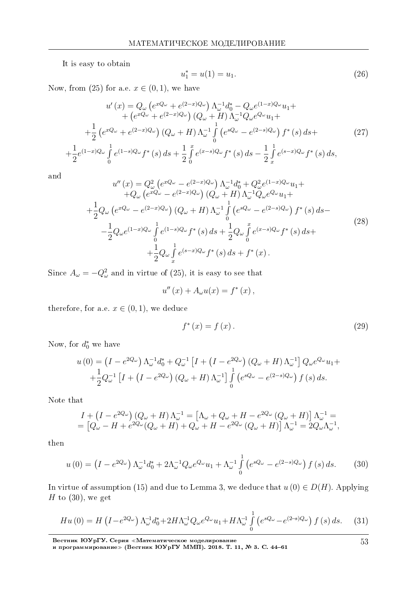It is easy to obtain

$$
u_1^* = u(1) = u_1. \tag{26}
$$

Now, from (25) for a.e.  $x \in (0,1)$ , we have

$$
u'(x) = Q_{\omega} \left( e^{xQ_{\omega}} + e^{(2-x)Q_{\omega}} \right) \Lambda_{\omega}^{-1} d_0^* - Q_{\omega} e^{(1-x)Q_{\omega}} u_1 +
$$
  
+ 
$$
\left( e^{xQ_{\omega}} + e^{(2-x)Q_{\omega}} \right) \left( Q_{\omega} + H \right) \Lambda_{\omega}^{-1} Q_{\omega} e^{Q_{\omega}} u_1 +
$$
  
+ 
$$
\frac{1}{2} \left( e^{xQ_{\omega}} + e^{(2-x)Q_{\omega}} \right) \left( Q_{\omega} + H \right) \Lambda_{\omega}^{-1} \int_0^1 \left( e^{sQ_{\omega}} - e^{(2-s)Q_{\omega}} \right) f^*(s) ds +
$$
  
+ 
$$
\frac{1}{2} e^{(1-x)Q_{\omega}} \int_0^1 e^{(1-s)Q_{\omega}} f^*(s) ds + \frac{1}{2} \int_0^x e^{(x-s)Q_{\omega}} f^*(s) ds - \frac{1}{2} \int_x^1 e^{(s-x)Q_{\omega}} f^*(s) ds,
$$
  
(27)

and

$$
u''(x) = Q_{\omega}^{2} (e^{xQ_{\omega}} - e^{(2-x)Q_{\omega}}) \Lambda_{\omega}^{-1} d_{0}^{*} + Q_{\omega}^{2} e^{(1-x)Q_{\omega}} u_{1} +
$$
  
\n
$$
+ Q_{\omega} (e^{xQ_{\omega}} - e^{(2-x)Q_{\omega}}) (Q_{\omega} + H) \Lambda_{\omega}^{-1} Q_{\omega} e^{Q_{\omega}} u_{1} +
$$
  
\n
$$
+ \frac{1}{2} Q_{\omega} (e^{xQ_{\omega}} - e^{(2-x)Q_{\omega}}) (Q_{\omega} + H) \Lambda_{\omega}^{-1} \int_{0}^{1} (e^{sQ_{\omega}} - e^{(2-s)Q_{\omega}}) f^{*}(s) ds -
$$
  
\n
$$
- \frac{1}{2} Q_{\omega} e^{(1-x)Q_{\omega}} \int_{0}^{1} e^{(1-s)Q_{\omega}} f^{*}(s) ds + \frac{1}{2} Q_{\omega} \int_{0}^{x} e^{(x-s)Q_{\omega}} f^{*}(s) ds +
$$
  
\n
$$
+ \frac{1}{2} Q_{\omega} \int_{x}^{1} e^{(s-x)Q_{\omega}} f^{*}(s) ds + f^{*}(x).
$$
  
\n(28)

Since  $A_{\omega} = -Q_{\omega}^2$  and in virtue of (25), it is easy to see that

$$
u''(x) + A_{\omega}u(x) = f^*(x),
$$

therefore, for a.e.  $x \in (0,1)$ , we deduce

$$
f^*(x) = f(x). \tag{29}
$$

Now, for  $d_0^*$  we have

$$
u(0) = (I - e^{2Q_{\omega}}) \Lambda_{\omega}^{-1} d_0^* + Q_{\omega}^{-1} [I + (I - e^{2Q_{\omega}}) (Q_{\omega} + H) \Lambda_{\omega}^{-1}] Q_{\omega} e^{Q_{\omega}} u_1 +
$$
  
+ 
$$
\frac{1}{2} Q_{\omega}^{-1} [I + (I - e^{2Q_{\omega}}) (Q_{\omega} + H) \Lambda_{\omega}^{-1}] \int_{0}^{1} (e^{sQ_{\omega}} - e^{(2-s)Q_{\omega}}) f(s) ds.
$$

Note that

$$
I + (I - e^{2Q_{\omega}}) (Q_{\omega} + H) \Lambda_{\omega}^{-1} = [\Lambda_{\omega} + Q_{\omega} + H - e^{2Q_{\omega}} (Q_{\omega} + H)] \Lambda_{\omega}^{-1} =
$$
  
= 
$$
[Q_{\omega} - H + e^{2Q_{\omega}} (Q_{\omega} + H) + Q_{\omega} + H - e^{2Q_{\omega}} (Q_{\omega} + H)] \Lambda_{\omega}^{-1} = 2Q_{\omega} \Lambda_{\omega}^{-1},
$$

then

$$
u(0) = \left(I - e^{2Q_{\omega}}\right) \Lambda_{\omega}^{-1} d_0^* + 2\Lambda_{\omega}^{-1} Q_{\omega} e^{Q_{\omega}} u_1 + \Lambda_{\omega}^{-1} \int_{0}^{1} \left(e^{sQ_{\omega}} - e^{(2-s)Q_{\omega}}\right) f(s) ds. \tag{30}
$$

In virtue of assumption (15) and due to Lemma 3, we deduce that  $u(0) \in D(H)$ . Applying *H* to (30), we get

$$
Hu(0) = H\left(I - e^{2Q_{\omega}}\right) \Lambda_{\omega}^{-1} d_0^* + 2H\Lambda_{\omega}^{-1} Q_{\omega} e^{Q_{\omega}} u_1 + H\Lambda_{\omega}^{-1} \int_0^1 \left(e^{sQ_{\omega}} - e^{(2-s)Q_{\omega}}\right) f(s) ds. \tag{31}
$$

Вестник ЮУрГУ. Серия «Математическое моделирование

и программирование≫ (Вестник ЮУрГУ ММП). 2018. T. 11, № 3. C. 44–61

53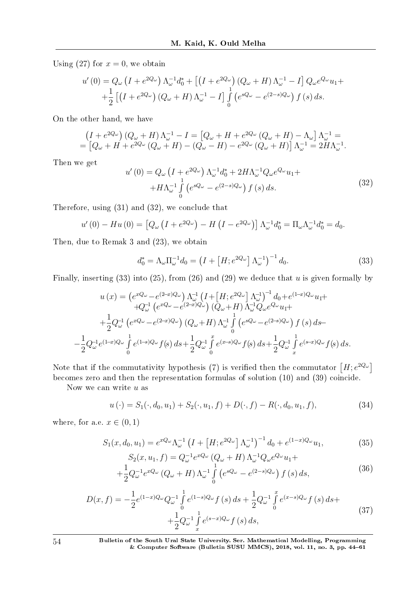Using (27) for  $x = 0$ , we obtain

$$
u'(0) = Q_{\omega} \left( I + e^{2Q_{\omega}} \right) \Lambda_{\omega}^{-1} d_0^* + \left[ \left( I + e^{2Q_{\omega}} \right) \left( Q_{\omega} + H \right) \Lambda_{\omega}^{-1} - I \right] Q_{\omega} e^{Q_{\omega}} u_1 +
$$
  
+ 
$$
\frac{1}{2} \left[ \left( I + e^{2Q_{\omega}} \right) \left( Q_{\omega} + H \right) \Lambda_{\omega}^{-1} - I \right] \int_0^1 \left( e^{sQ_{\omega}} - e^{(2-s)Q_{\omega}} \right) f(s) ds.
$$

On the other hand, we have

$$
(I + e^{2Q_{\omega}}) (Q_{\omega} + H) \Lambda_{\omega}^{-1} - I = [Q_{\omega} + H + e^{2Q_{\omega}} (Q_{\omega} + H) - \Lambda_{\omega}] \Lambda_{\omega}^{-1} =
$$
  
= 
$$
[Q_{\omega} + H + e^{2Q_{\omega}} (Q_{\omega} + H) - (Q_{\omega} - H) - e^{2Q_{\omega}} (Q_{\omega} + H)] \Lambda_{\omega}^{-1} = 2H\Lambda_{\omega}^{-1}.
$$

Then we get

$$
u'(0) = Q_{\omega} \left( I + e^{2Q_{\omega}} \right) \Lambda_{\omega}^{-1} d_0^* + 2H \Lambda_{\omega}^{-1} Q_{\omega} e^{Q_{\omega}} u_1 ++ H \Lambda_{\omega}^{-1} \int_{0}^{1} \left( e^{sQ_{\omega}} - e^{(2-s)Q_{\omega}} \right) f(s) ds.
$$
 (32)

Therefore, using (31) and (32), we conclude that

$$
u'(0) - Hu(0) = [Q_{\omega} (I + e^{2Q_{\omega}}) - H (I - e^{2Q_{\omega}})] \Lambda_{\omega}^{-1} d_0^* = \Pi_{\omega} \Lambda_{\omega}^{-1} d_0^* = d_0.
$$

Then, due to Remak 3 and (23), we obtain

$$
d_0^* = \Lambda_\omega \Pi_\omega^{-1} d_0 = \left( I + \left[ H; e^{2Q_\omega} \right] \Lambda_\omega^{-1} \right)^{-1} d_0.
$$
 (33)

Finally, inserting (33) into (25), from (26) and (29) we deduce that *u* is given formally by

$$
u(x) = (e^{xQ_{\omega}} - e^{(2-x)Q_{\omega}}) \Lambda_{\omega}^{-1} (I + [H; e^{2Q_{\omega}}] \Lambda_{\omega}^{-1})^{-1} d_0 + e^{(1-x)Q_{\omega}} u_1 +
$$
  
\n
$$
+ Q_{\omega}^{-1} (e^{xQ_{\omega}} - e^{(2-x)Q_{\omega}}) (Q_{\omega} + H) \Lambda_{\omega}^{-1} Q_{\omega} e^{Q_{\omega}} u_1 +
$$
  
\n
$$
+ \frac{1}{2} Q_{\omega}^{-1} (e^{xQ_{\omega}} - e^{(2-x)Q_{\omega}}) (Q_{\omega} + H) \Lambda_{\omega}^{-1} \int_{0}^{1} (e^{sQ_{\omega}} - e^{(2-s)Q_{\omega}}) f(s) ds -
$$
  
\n
$$
- \frac{1}{2} Q_{\omega}^{-1} e^{(1-x)Q_{\omega}} \int_{0}^{1} e^{(1-s)Q_{\omega}} f(s) ds + \frac{1}{2} Q_{\omega}^{-1} \int_{0}^{x} e^{(x-s)Q_{\omega}} f(s) ds + \frac{1}{2} Q_{\omega}^{-1} \int_{x}^{1} e^{(s-x)Q_{\omega}} f(s) ds.
$$

Note that if the commutativity hypothesis (7) is verified then the commutator  $[H; e^{2Q_\omega}]$ becomes zero and then the representation formulas of solution (10) and (39) coincide.

Now we can write *u* as

$$
u(\cdot) = S_1(\cdot, d_0, u_1) + S_2(\cdot, u_1, f) + D(\cdot, f) - R(\cdot, d_0, u_1, f), \tag{34}
$$

where, for a.e.  $x \in (0,1)$ 

$$
S_1(x, d_0, u_1) = e^{xQ_\omega} \Lambda_\omega^{-1} \left( I + \left[ H; e^{2Q_\omega} \right] \Lambda_\omega^{-1} \right)^{-1} d_0 + e^{(1-x)Q_\omega} u_1,
$$
(35)

$$
S_2(x, u_1, f) = Q_{\omega}^{-1} e^{xQ_{\omega}} (Q_{\omega} + H) \Lambda_{\omega}^{-1} Q_{\omega} e^{Q_{\omega}} u_1 +
$$
  
 
$$
+ \frac{1}{2} Q_{\omega}^{-1} e^{xQ_{\omega}} (Q_{\omega} + H) \Lambda_{\omega}^{-1} \int_{0}^{1} (e^{sQ_{\omega}} - e^{(2-s)Q_{\omega}}) f(s) ds,
$$
 (36)

$$
D(x,f) = -\frac{1}{2}e^{(1-x)Q_{\omega}}Q_{\omega}^{-1}\int_{0}^{1}e^{(1-s)Q_{\omega}}f(s) ds + \frac{1}{2}Q_{\omega}^{-1}\int_{0}^{x}e^{(x-s)Q_{\omega}}f(s) ds + + \frac{1}{2}Q_{\omega}^{-1}\int_{x}^{1}e^{(s-x)Q_{\omega}}f(s) ds,
$$
\n(37)

54 Bulletin of the South Ural State University. Ser. Mathematical Modelling, Programming & Computer Software (Bulletin SUSU MMCS), 2018, vol. 11, no. 3, pp.  $44-61$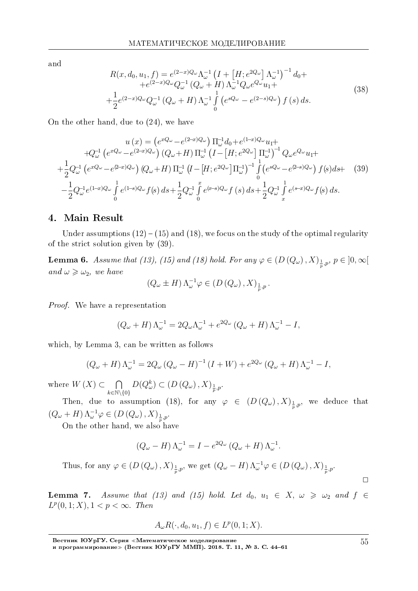and

$$
R(x, d_0, u_1, f) = e^{(2-x)Q_{\omega}} \Lambda_{\omega}^{-1} \left( I + \left[ H; e^{2Q_{\omega}} \right] \Lambda_{\omega}^{-1} \right)^{-1} d_0 +
$$
  
+ 
$$
e^{(2-x)Q_{\omega}} Q_{\omega}^{-1} (Q_{\omega} + H) \Lambda_{\omega}^{-1} Q_{\omega} e^{Q_{\omega}} u_1 +
$$
  
+ 
$$
\frac{1}{2} e^{(2-x)Q_{\omega}} Q_{\omega}^{-1} (Q_{\omega} + H) \Lambda_{\omega}^{-1} \int_{0}^{1} \left( e^{sQ_{\omega}} - e^{(2-s)Q_{\omega}} \right) f(s) ds.
$$
 (38)

On the other hand, due to (24), we have

$$
u(x) = (e^{xQ_{\omega}} - e^{(2-x)Q_{\omega}}) \Pi_{\omega}^{-1} d_0 + e^{(1-x)Q_{\omega}} u_1 +
$$
  
\n
$$
+ Q_{\omega}^{-1} (e^{xQ_{\omega}} - e^{(2-x)Q_{\omega}}) (Q_{\omega} + H) \Pi_{\omega}^{-1} (I - [H; e^{2Q_{\omega}}] \Pi_{\omega}^{-1})^{-1} Q_{\omega} e^{Q_{\omega}} u_1 +
$$
  
\n
$$
+ \frac{1}{2} Q_{\omega}^{-1} (e^{xQ_{\omega}} - e^{(2-x)Q_{\omega}}) (Q_{\omega} + H) \Pi_{\omega}^{-1} (I - [H; e^{2Q_{\omega}}] \Pi_{\omega}^{-1})^{-1} \int_{0}^{1} (e^{sQ_{\omega}} - e^{(2-s)Q_{\omega}}) f(s) ds +
$$
  
\n
$$
- \frac{1}{2} Q_{\omega}^{-1} e^{(1-x)Q_{\omega}} \int_{0}^{1} e^{(1-s)Q_{\omega}} f(s) ds + \frac{1}{2} Q_{\omega}^{-1} \int_{0}^{x} e^{(x-s)Q_{\omega}} f(s) ds + \frac{1}{2} Q_{\omega}^{-1} \int_{x}^{1} e^{(s-x)Q_{\omega}} f(s) ds.
$$
  
\n(39)

#### 4. Main Result

Under assumptions  $(12) - (15)$  and  $(18)$ , we focus on the study of the optimal regularity of the strict solution given by (39).

Lemma 6. Assume that (13), (15) and (18) hold. For any  $\varphi \in (D\left(Q_{\omega}\right), X)_{\frac{1}{p},p}, p \in \left]0,\infty\right[$ and  $\omega \geqslant \omega_2$ , we have

$$
(Q_{\omega} \pm H) \Lambda_{\omega}^{-1} \varphi \in (D(Q_{\omega}), X)_{\frac{1}{p}, p}.
$$

Proof. We have a representation

$$
(Q_{\omega} + H) \Lambda_{\omega}^{-1} = 2Q_{\omega} \Lambda_{\omega}^{-1} + e^{2Q_{\omega}} (Q_{\omega} + H) \Lambda_{\omega}^{-1} - I,
$$

which, by Lemma 3, can be written as follows

$$
(Q_{\omega} + H) \Lambda_{\omega}^{-1} = 2Q_{\omega} (Q_{\omega} - H)^{-1} (I + W) + e^{2Q_{\omega}} (Q_{\omega} + H) \Lambda_{\omega}^{-1} - I,
$$

where  $W(X) \subset \bigcap$ *k∈*N*\{*0*}*  $D(Q_{\omega}^{k}) \subset (D(Q_{\omega}), X)_{\frac{1}{p},p}.$ 

Then, due to assumption (18), for any  $\varphi \in (D(Q_\omega), X)_{\frac{1}{p},p}$ , we deduce that  $(Q_{\omega} + H) \Lambda_{\omega}^{-1} \varphi \in (D(Q_{\omega}), X)_{\frac{1}{p}, p}.$ 

On the other hand, we also have

$$
(Q_{\omega} - H) \Lambda_{\omega}^{-1} = I - e^{2Q_{\omega}} (Q_{\omega} + H) \Lambda_{\omega}^{-1}.
$$

Thus, for any  $\varphi \in (D(Q_{\omega}), X)_{\frac{1}{p}, p}$ , we get  $(Q_{\omega} - H) \Lambda_{\omega}^{-1} \varphi \in (D(Q_{\omega}), X)_{\frac{1}{p}, p}$ .

**Lemma 7.** Assume that (13) and (15) hold. Let  $d_0, u_1 \in X, \omega \geq \omega_2$  and  $f \in$  $L^p(0,1;X), 1 < p < \infty$ . Then

$$
A_{\omega}R(\cdot, d_0, u_1, f) \in L^p(0, 1; X).
$$

 $\Box$ 

Вестник ЮУрГУ. Серия «Математическое моделирование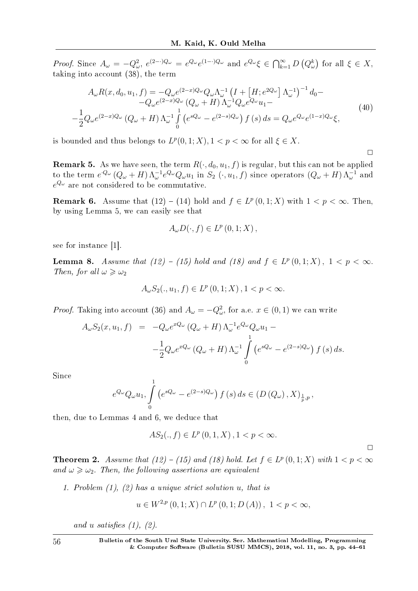*Proof.* Since  $A_{\omega} = -Q_{\omega}^2$ ,  $e^{(2-\cdot)Q_{\omega}} = e^{Q_{\omega}}e^{(1-\cdot)Q_{\omega}}$  and  $e^{Q_{\omega}}\xi \in \bigcap_{k=1}^{\infty} D(Q_{\omega}^k)$  for all  $\xi \in X$ , taking into account (38), the term

$$
A_{\omega}R(x, d_0, u_1, f) = -Q_{\omega}e^{(2-x)Q_{\omega}}Q_{\omega}\Lambda_{\omega}^{-1} \left(I + \left[H; e^{2Q_{\omega}}\right]\Lambda_{\omega}^{-1}\right)^{-1} d_0 -
$$
  
\n
$$
-Q_{\omega}e^{(2-x)Q_{\omega}} \left(Q_{\omega} + H\right)\Lambda_{\omega}^{-1}Q_{\omega}e^{Q_{\omega}}u_1 -
$$
  
\n
$$
-\frac{1}{2}Q_{\omega}e^{(2-x)Q_{\omega}} \left(Q_{\omega} + H\right)\Lambda_{\omega}^{-1} \int_{0}^{1} \left(e^{sQ_{\omega}} - e^{(2-s)Q_{\omega}}\right) f(s) ds = Q_{\omega}e^{Q_{\omega}}e^{(1-x)Q_{\omega}} \xi,
$$
\n(40)

 $\Box$ 

is bounded and thus belongs to  $L^p(0,1;X), 1 < p < \infty$  for all  $\xi \in X$ .

**Remark 5.** As we have seen, the term  $R(\cdot, d_0, u_1, f)$  is regular, but this can not be applied to the term  $e^{Q_\omega}(Q_\omega + H) \Lambda_\omega^{-1} e^{Q_\omega} Q_\omega u_1$  in  $S_2(\cdot, u_1, f)$  since operators  $(Q_\omega + H) \Lambda_\omega^{-1}$  and  $e^{Q_\omega}$  are not considered to be commutative.

**Remark 6.** Assume that  $(12) - (14)$  hold and  $f \in L^p(0,1;X)$  with  $1 < p < \infty$ . Then, by using Lemma 5, we can easily see that

$$
A_{\omega}D(\cdot,f)\in L^{p}(0,1;X)\,,
$$

see for instance [1].

**Lemma 8.** Assume that  $(12) - (15)$  hold and  $(18)$  and  $f \in L^p(0,1;X)$ ,  $1 < p < \infty$ . Then, for all  $\omega \geqslant \omega_2$ 

$$
A_{\omega}S_{2}(.,u_{1},f)\in L^{p}\left( 0,1;X\right) ,1
$$

*Proof.* Taking into account (36) and  $A_{\omega} = -Q_{\omega}^2$ , for a.e.  $x \in (0,1)$  we can write

$$
A_{\omega} S_2(x, u_1, f) = -Q_{\omega} e^{xQ_{\omega}} (Q_{\omega} + H) \Lambda_{\omega}^{-1} e^{Q_{\omega}} Q_{\omega} u_1 -
$$
  

$$
- \frac{1}{2} Q_{\omega} e^{xQ_{\omega}} (Q_{\omega} + H) \Lambda_{\omega}^{-1} \int_{0}^{1} (e^{sQ_{\omega}} - e^{(2-s)Q_{\omega}}) f(s) ds.
$$

Since

$$
e^{Q_{\omega}}Q_{\omega}u_1, \int\limits_0^1 \left(e^{sQ_{\omega}} - e^{(2-s)Q_{\omega}}\right) f\left(s\right) ds \in \left(D\left(Q_{\omega}\right), X\right)_{\frac{1}{p},p},
$$

then, due to Lemmas 4 and 6, we deduce that

$$
AS_2(., f) \in L^p(0, 1, X), 1 < p < \infty.
$$

**Theorem 2.** Assume that  $(12) - (15)$  and  $(18)$  hold. Let  $f \in L^p(0,1;X)$  with  $1 < p < \infty$ and  $\omega \geqslant \omega_2$ . Then, the following assertions are equivalent

1. Problem (1), (2) has a unique strict solution *u*, that is

$$
u \in W^{2,p}(0,1;X) \cap L^p(0,1;D(A)), \ 1 < p < \infty,
$$

and *u* satisfies  $(1)$ ,  $(2)$ .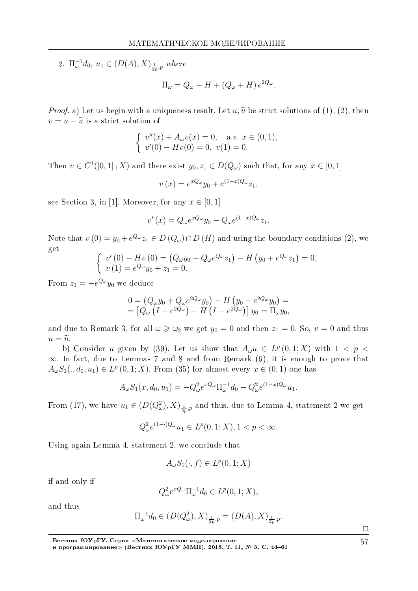2.  $\Pi_{\omega}^{-1}d_0, u_1 \in (D(A), X)_{\frac{1}{2p}, p}$  where

$$
\Pi_{\omega} = Q_{\omega} - H + (Q_{\omega} + H) e^{2Q_{\omega}}.
$$

*Proof.* a) Let us begin with a uniqueness result. Let  $u, \tilde{u}$  be strict solutions of (1), (2), then  $v = u - \tilde{u}$  is a strict solution of

$$
\begin{cases}\nv''(x) + A_{\omega}v(x) = 0, & \text{a.e. } x \in (0, 1), \\
v'(0) - Hv(0) = 0, & v(1) = 0.\n\end{cases}
$$

Then  $v \in C^1([0,1];X)$  and there exist  $y_0, z_1 \in D(Q_\omega)$  such that, for any  $x \in [0,1]$ 

$$
v(x) = e^{xQ_{\omega}}y_0 + e^{(1-x)Q_{\omega}}z_1,
$$

see Section 3, in [1]. Moreover, for any  $x \in [0, 1]$ 

$$
v'(x) = Q_{\omega}e^{xQ_{\omega}}y_0 - Q_{\omega}e^{(1-x)Q_{\omega}}z_1.
$$

Note that  $v(0) = y_0 + e^{Q_\omega} z_1 \in D(Q_\omega) \cap D(H)$  and using the boundary conditions (2), we get

$$
\begin{cases}\nv'(0) - Hv(0) = (Q_{\omega}y_0 - Q_{\omega}e^{Q_{\omega}}z_1) - H(y_0 + e^{Q_{\omega}}z_1) = 0, \\
v(1) = e^{Q_{\omega}}y_0 + z_1 = 0.\n\end{cases}
$$

From  $z_1 = -e^{Q_\omega} y_0$  we deduce

$$
0 = (Q_{\omega}y_0 + Q_{\omega}e^{2Q_{\omega}}y_0) - H(y_0 - e^{2Q_{\omega}}y_0) =
$$
  
=  $[Q_{\omega}(I + e^{2Q_{\omega}}) - H(I - e^{2Q_{\omega}})]y_0 = \Pi_{\omega}y_0,$ 

and due to Remark 3, for all  $\omega \geq \omega_2$  we get  $y_0 = 0$  and then  $z_1 = 0$ . So,  $v = 0$  and thus  $u = \tilde{u}.$ 

b) Consider *u* given by (39). Let us show that  $A_{\omega}u \in L^p(0,1;X)$  with  $1 < p <$ *∞*. In fact, due to Lemmas 7 and 8 and from Remark (6), it is enough to prove that *A*<sup>*w*</sup><sub>*S*</sub><sup>1</sup>(*., d*<sup>0</sup>*, u*<sub>1</sub>) ∈ *L*<sup>*p*</sup> (0*,* 1; *X*). From (35) for almost every *x* ∈ (0*,* 1) one has

$$
A_{\omega} S_1(x, d_0, u_1) = -Q_{\omega}^2 e^{xQ_{\omega}} \Pi_{\omega}^{-1} d_0 - Q_{\omega}^2 e^{(1-x)Q_{\omega}} u_1.
$$

From (17), we have  $u_1 \in (D(Q^2_\omega), X)_{\frac{1}{2p}, p}$  and thus, due to Lemma 4, statement 2 we get

$$
Q_{\omega}^{2}e^{(1-\cdot)Q_{\omega}}u_{1} \in L^{p}(0,1;X), 1 < p < \infty.
$$

Using again Lemma 4, statement 2, we conclude that

$$
A_{\omega}S_1(\cdot, f) \in L^p(0, 1; X)
$$

if and only if

$$
Q^2_{\omega}e^{xQ_{\omega}}\Pi_{\omega}^{-1}d_0 \in L^p(0,1;X),
$$

and thus

$$
\Pi_{\omega}^{-1}d_0 \in (D(Q_{\omega}^2), X)_{\frac{1}{2p}, p} = (D(A), X)_{\frac{1}{2p}, p}.
$$

Вестник ЮУрГУ. Серия «Математическое моделирование и программирование≫ (Вестник ЮУрГУ ММП). 2018. T. 11, № 3. C. 44–61

 $\Box$ 57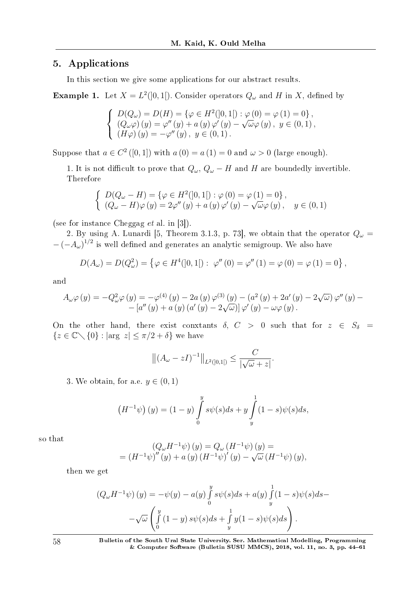# 5. Applications

In this section we give some applications for our abstract results.

**Example 1.** Let  $X = L^2([0,1])$ . Consider operators  $Q_\omega$  and *H* in *X*, defined by

$$
\begin{cases}\nD(Q_{\omega}) = D(H) = \{ \varphi \in H^{2}(]0, 1[) : \varphi(0) = \varphi(1) = 0 \}, \\
(Q_{\omega}\varphi)(y) = \varphi''(y) + a(y)\varphi'(y) - \sqrt{\omega}\varphi(y), \ y \in (0, 1), \\
(H\varphi)(y) = -\varphi''(y), \ y \in (0, 1).\n\end{cases}
$$

Suppose that  $a \in C^2([0,1])$  with  $a(0) = a(1) = 0$  and  $\omega > 0$  (large enough).

1. It is not difficult to prove that  $Q_{\omega}$ ,  $Q_{\omega} - H$  and *H* are boundedly invertible. Therefore

$$
\begin{cases}\nD(Q_{\omega} - H) = \{ \varphi \in H^{2}(]0, 1[) : \varphi(0) = \varphi(1) = 0 \}, \\
(Q_{\omega} - H)\varphi(y) = 2\varphi''(y) + a(y)\varphi'(y) - \sqrt{\omega}\varphi(y), \quad y \in (0, 1)\n\end{cases}
$$

(see for instance Cheggag et al. in [3]).

2. By using A. Lunardi [5, Theorem 3.1.3, p. 73], we obtain that the operator  $Q_{\omega}$  = *−* (*−A*<sup>ω</sup>)<sup>1/2</sup> is well defined and generates an analytic semigroup. We also have

$$
D(A_{\omega}) = D(Q_{\omega}^{2}) = \{ \varphi \in H^{4}(]0,1[) : \varphi''(0) = \varphi''(1) = \varphi(0) = \varphi(1) = 0 \},
$$

and

$$
A_{\omega}\varphi(y) = -Q_{\omega}^{2}\varphi(y) = -\varphi^{(4)}(y) - 2a(y)\varphi^{(3)}(y) - (a^{2}(y) + 2a'(y) - 2\sqrt{\omega})\varphi''(y) -
$$
  
 
$$
- [a''(y) + a(y)(a'(y) - 2\sqrt{\omega})]\varphi'(y) - \omega\varphi(y).
$$

On the other hand, there exist conxtants  $\delta$ ,  $C > 0$  such that for  $z \in S_{\delta}$  =  ${z \in \mathbb{C} \setminus \{0\} : |\arg z| \leq \pi/2 + \delta}$  we have

$$
\left\| (A_{\omega} - zI)^{-1} \right\|_{L^2([0,1])} \le \frac{C}{|\sqrt{\omega} + z|}.
$$

3. We obtain, for a.e.  $y \in (0, 1)$ 

$$
(H^{-1}\psi)(y) = (1 - y) \int_{0}^{y} s\psi(s)ds + y \int_{y}^{1} (1 - s)\psi(s)ds,
$$

so that

$$
(Q_{\omega}H^{-1}\psi)(y) = Q_{\omega}(H^{-1}\psi)(y) =
$$
  
=  $(H^{-1}\psi)''(y) + a(y) (H^{-1}\psi)'(y) - \sqrt{\omega} (H^{-1}\psi)(y),$ 

then we get

$$
(Q_{\omega}H^{-1}\psi)(y) = -\psi(y) - a(y)\int_{0}^{y} s\psi(s)ds + a(y)\int_{y}^{1} (1-s)\psi(s)ds - \sqrt{\omega}\int_{0}^{y} (1-y)s\psi(s)ds + \int_{y}^{1} y(1-s)\psi(s)ds\Big).
$$

58 Bulletin of the South Ural State University. Ser. Mathematical Modelling, Programming & Computer Software (Bulletin SUSU MMCS), 2018, vol. 11, no. 3, pp. 44-61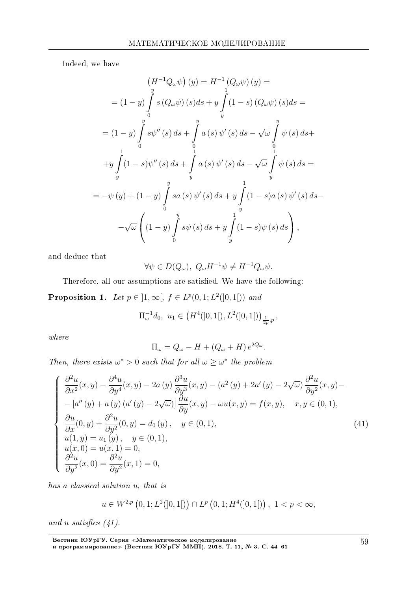Indeed, we have

$$
(H^{-1}Q_{\omega}\psi)(y) = H^{-1}(Q_{\omega}\psi)(y) =
$$
  
\n
$$
= (1 - y) \int_{0}^{y} s (Q_{\omega}\psi)(s)ds + y \int_{y}^{1} (1 - s) (Q_{\omega}\psi)(s)ds =
$$
  
\n
$$
= (1 - y) \int_{0}^{y} s\psi''(s) ds + \int_{0}^{y} a (s) \psi'(s) ds - \sqrt{\omega} \int_{0}^{y} \psi(s) ds +
$$
  
\n
$$
+ y \int_{y}^{1} (1 - s)\psi''(s) ds + \int_{y}^{1} a (s) \psi'(s) ds - \sqrt{\omega} \int_{y}^{1} \psi(s) ds =
$$
  
\n
$$
= -\psi(y) + (1 - y) \int_{0}^{y} s a (s) \psi'(s) ds + y \int_{y}^{1} (1 - s) a (s) \psi'(s) ds -
$$
  
\n
$$
- \sqrt{\omega} \left( (1 - y) \int_{0}^{y} s \psi(s) ds + y \int_{y}^{1} (1 - s) \psi(s) ds \right),
$$

and deduce that

$$
\forall \psi \in D(Q_{\omega}), \ Q_{\omega} H^{-1} \psi \neq H^{-1} Q_{\omega} \psi.
$$

Therefore, all our assumptions are satisfied. We have the following:

**Proposition 1.** Let  $p \in ]1, \infty[, f \in L^p(0, 1; L^2([0, 1]))$  and

$$
\Pi_{\omega}^{-1}d_0, u_1 \in (H^4(]0,1[),L^2(]0,1[))_{\frac{1}{2p},p},
$$

where

$$
\Pi_{\omega} = Q_{\omega} - H + (Q_{\omega} + H) e^{2Q_{\omega}}.
$$

Then, there exists  $\omega^* > 0$  such that for all  $\omega \geq \omega^*$  the problem

$$
\begin{cases}\n\frac{\partial^2 u}{\partial x^2}(x, y) - \frac{\partial^4 u}{\partial y^4}(x, y) - 2a(y)\frac{\partial^3 u}{\partial y^3}(x, y) - (a^2(y) + 2a'(y) - 2\sqrt{\omega})\frac{\partial^2 u}{\partial y^2}(x, y) - \\
-\left[a''(y) + a(y)(a'(y) - 2\sqrt{\omega})\right]\frac{\partial u}{\partial y}(x, y) - \omega u(x, y) = f(x, y), \quad x, y \in (0, 1), \\
\frac{\partial u}{\partial x}(0, y) + \frac{\partial^2 u}{\partial y^2}(0, y) = d_0(y), \quad y \in (0, 1), \\
u(1, y) = u_1(y), \quad y \in (0, 1), \\
u(x, 0) = u(x, 1) = 0, \\
\frac{\partial^2 u}{\partial y^2}(x, 0) = \frac{\partial^2 u}{\partial y^2}(x, 1) = 0,\n\end{cases}
$$
\n(41)

has a classical solution *u*, that is

$$
u \in W^{2,p}\left(0,1;L^2([0,1[)\right) \cap L^p\left(0,1;H^4([0,1[)\right), 1 < p < \infty,
$$

and  $u$  satisfies  $(41)$ .

Вестник ЮУрГУ. Серия «Математическое моделирование **и программирование**» (Вестник ЮУрГУ ММП). 2018. Т. 11, № 3. С. 44-61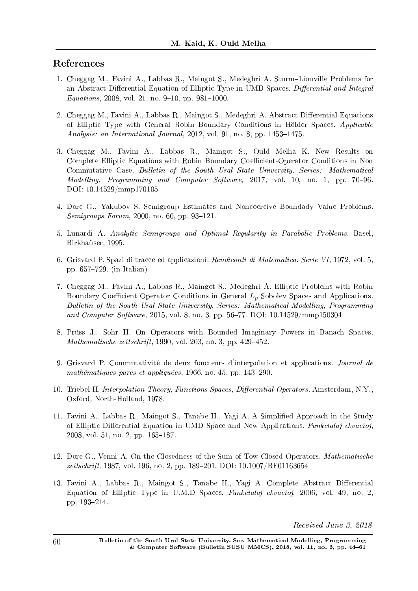# References

- 1. Cheggag M., Favini A., Labbas R., Maingot S., Medeghri A. Sturm–Liouville Problems for an Abstract Differential Equation of Elliptic Type in UMD Spaces. Differential and Integral  $Equations, 2008, vol. 21, no. 9-10, pp. 981-1000.$
- 2. Cheggag M., Favini A., Labbas R., Maingot S., Medeghri A. Abstract Differential Equations of Elliptic Type with General Robin Boundary Conditions in Holder Spaces. Applicable Analysis: an International Journal, 2012, vol. 91, no. 8, pp. 1453-1475.
- 3. Cheggag M., Favini A., Labbas R., Maingot S., Ould Melha K. New Results on Complete Elliptic Equations with Robin Boundary Coefficient-Operator Conditions in Non Commutative Case. Bulletin of the South Ural State University. Series: Mathematical  $Modelling$ , Programming and Computer Software, 2017, vol. 10, no. 1, pp. 70–96. DOI: 10.14529/mmp170105
- 4. Dore G., Yakubov S. Semigroup Estimates and Noncoercive Boundady Value Problems.  $Semigroups \; Forum, 2000, no. 60, pp. 93-121.$
- 5. Lunardi A. Analytic Semigroups and Optimal Regularity in Parabolic Problems. Basel, Birkhaüser, 1995.
- 6. Grisvard P. Spazi di tracce ed applicazioni. Rendiconti di Matematica. Serie VI, 1972, vol. 5, pp.  $657-729$ . (in Italian)
- 7. Cheggag M., Favini A., Labbas R., Maingot S., Medeghri A. Elliptic Problems with Robin Boundary Coefficient-Operator Conditions in General  $L_p$  Sobolev Spaces and Applications. Bulletin of the South Ural State University. Series: Mathematical Modelling, Programming and Computer Software, 2015, vol. 8, no. 3, pp. 56-77. DOI: 10.14529/mmp150304
- 8. Pruss J., Sohr H. On Operators with Bounded Imaginary Powers in Banach Spaces.  $Mathematics the zetschrift, 1990, vol. 203, no. 3, pp. 429-452.$
- 9. Grisvard P. Commutativité de deux foncteurs d'interpolation et applications. Journal de mathématiques pures et appliquées,  $1966$ , no. 45, pp. 143-290.
- 10. Triebel H. Interpolation Theory, Functions Spaces, Differential Operators. Amsterdam, N.Y., Oxford, North-Holland, 1978.
- 11. Favini A., Labbas R., Maingot S., Tanabe H., Yagi A. A Simplied Approach in the Study of Elliptic Differential Equation in UMD Space and New Applications. Funkcialaj ekvacioj, 2008, vol. 51, no. 2, pp. 165-187.
- 12. Dore G., Venni A. On the Closedness of the Sum of Tow Closed Operators. Mathematische zeitschrift, 1987, vol. 196, no. 2, pp. 189-201. DOI: 10.1007/BF01163654
- 13. Favini A., Labbas R., Maingot S., Tanabe H., Yagi A. Complete Abstract Differential Equation of Elliptic Type in U.M.D Spaces. Funkcialaj ekvacioj, 2006, vol. 49, no. 2, pp. 193-214.

Received June 3, 2018